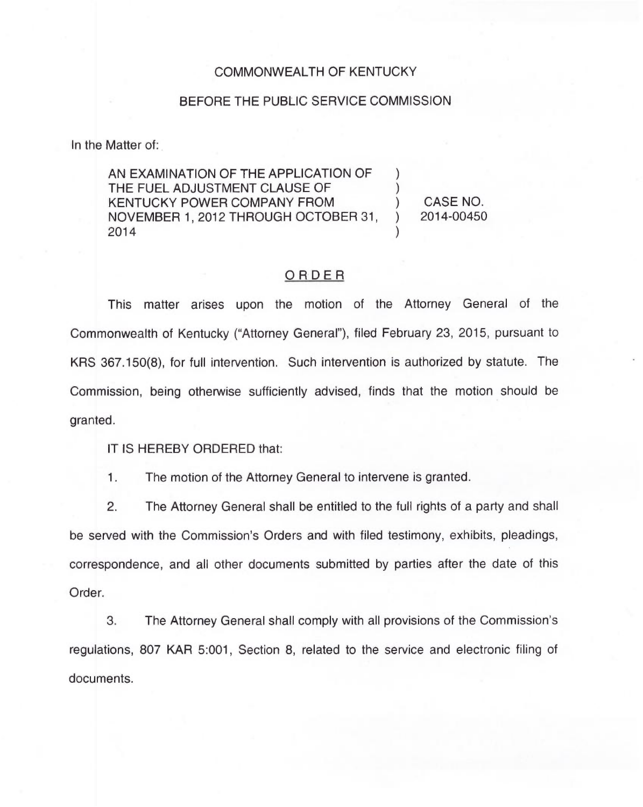## COMMONWEALTH OF KENTUCKY

## BEFORE THE PUBLIC SERVICE COMMISSION

In the Matter of:

AN EXAMINATION OF THE APPLICATION OF THE FUEL ADJUSTMENT CLAUSE OF KENTUCKY POWER COMPANY FROM NOVEMBER 1, 2012 THROUGH OCTOBER 31, 2014 ) ) )

) CASE NO. ) 2014-00450

## ORDER

This matter arises upon the motion of the Attorney General of the Commonwealth of Kentucky ("Attorney General"), filed February 23, 2015, pursuant to KRS 367.150(8), for full intervention. Such intervention is authorized by statute. The Commission, being otherwise sufficiently advised, finds that the motion should be granted.

IT IS HEREBY ORDERED that:

 $1.$ The motion of the Attorney General to intervene is granted.

2. The Attorney General shall be entitled to the full rights of a party and shall be served with the Commission's Orders and with filed testimony, exhibits, pleadings, correspondence, and all other documents submitted by parties after the date of this Order.

3. The Attorney General shall comply with all provisions of the Commission's regulations, 807 KAR 5:001, Section 8, related to the service and electronic filing of documents.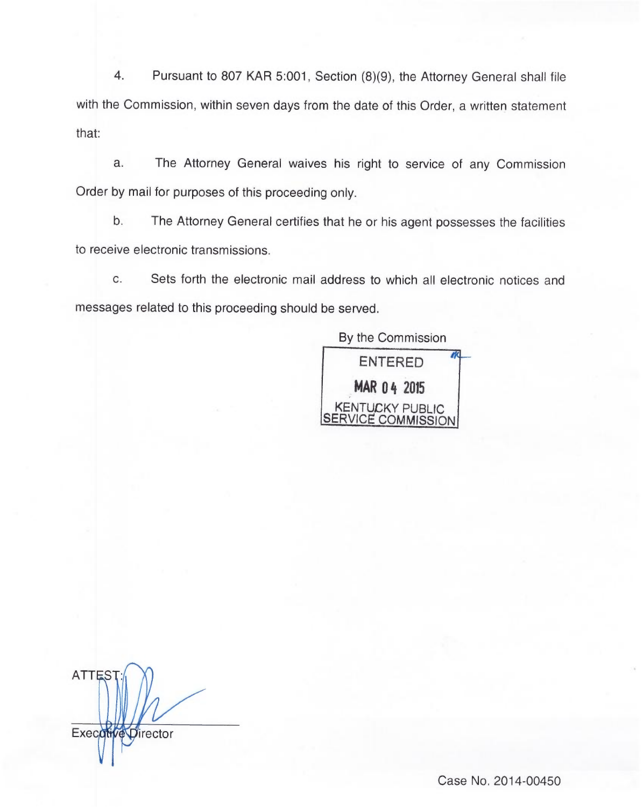4. Pursuant to 807 KAR 5:001, Section (8)(9), the Attorney General shall file with the Commission, within seven days from the date of this Order, a written statement that:

The Attorney General waives his right to service of any Commission a. Order by mail for purposes of this proceeding only.

b. The Attorney General certifies that he or his agent possesses the facilities to receive electronic transmissions.

c. Sets forth the electronic mail address to which all electronic notices and messages related to this proceeding should be served.

> By the Commission ENTERED MAR 04 2015 **KENTUCKY PUBLIC** ERVICE COMMISSION

**ATTES** Execotive Director